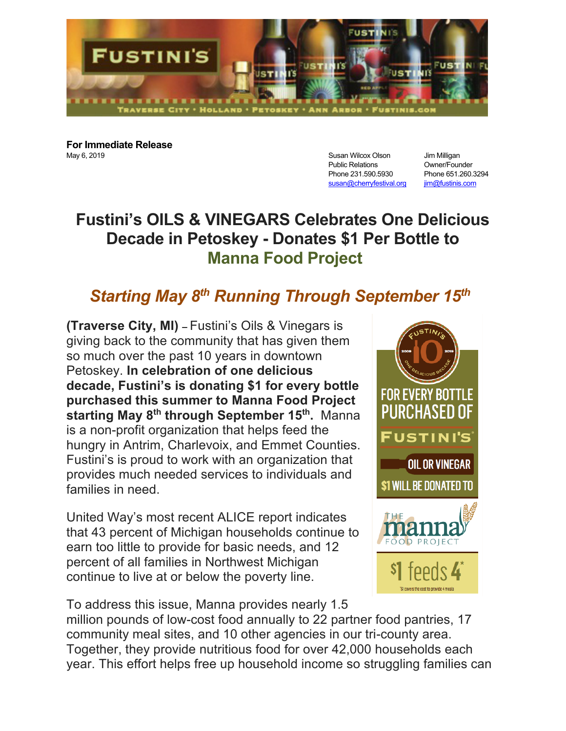

**For Immediate Release** May 6, 2019 **Susan Wilcox Olson** Jim Milligan May 6, 2019

Public Relations Owner/Founder Phone 231.590.5930 Phone 651.260.3294 susan@cherryfestival.org jim@fustinis.com

## **Fustini's OILS & VINEGARS Celebrates One Delicious Decade in Petoskey - Donates \$1 Per Bottle to Manna Food Project**

## *Starting May 8th Running Through September 15th*

**(Traverse City, MI) –** Fustini's Oils & Vinegars is giving back to the community that has given them so much over the past 10 years in downtown Petoskey. **In celebration of one delicious decade, Fustini's is donating \$1 for every bottle purchased this summer to Manna Food Project starting May 8<sup>th</sup> through September 15<sup>th</sup>. Manna** is a non-profit organization that helps feed the hungry in Antrim, Charlevoix, and Emmet Counties. Fustini's is proud to work with an organization that provides much needed services to individuals and families in need.

United Way's most recent ALICE report indicates that 43 percent of Michigan households continue to earn too little to provide for basic needs, and 12 percent of all families in Northwest Michigan continue to live at or below the poverty line.



To address this issue, Manna provides nearly 1.5

million pounds of low-cost food annually to 22 partner food pantries, 17 community meal sites, and 10 other agencies in our tri-county area. Together, they provide nutritious food for over 42,000 households each year. This effort helps free up household income so struggling families can